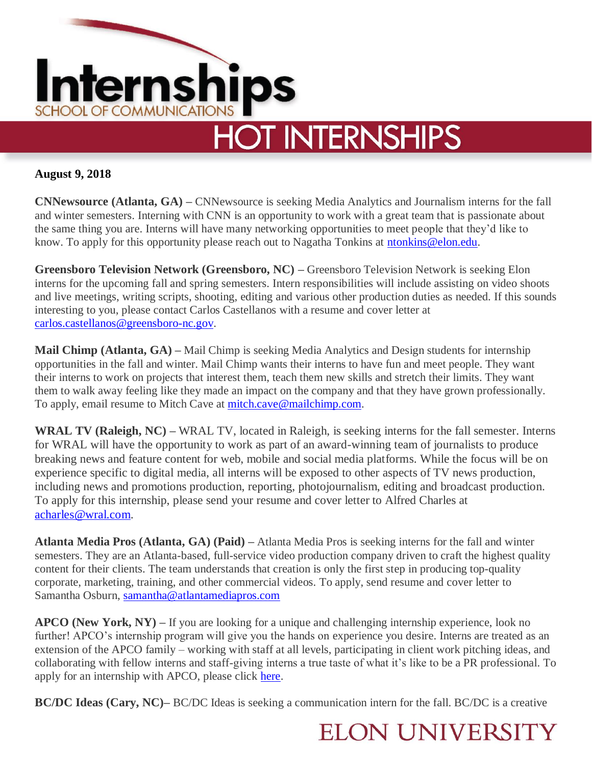

## **August 9, 2018**

**CNNewsource (Atlanta, GA) –** CNNewsource is seeking Media Analytics and Journalism interns for the fall and winter semesters. Interning with CNN is an opportunity to work with a great team that is passionate about the same thing you are. Interns will have many networking opportunities to meet people that they'd like to know. To apply for this opportunity please reach out to Nagatha Tonkins at [ntonkins@elon.edu.](mailto:ntonkins@elon.edu)

**Greensboro Television Network (Greensboro, NC) –** Greensboro Television Network is seeking Elon interns for the upcoming fall and spring semesters. Intern responsibilities will include assisting on video shoots and live meetings, writing scripts, shooting, editing and various other production duties as needed. If this sounds interesting to you, please contact Carlos Castellanos with a resume and cover letter at [carlos.castellanos@greensboro-nc.gov.](mailto:carlos.castellanos@greensboro-nc.gov)

**Mail Chimp (Atlanta, GA) –** Mail Chimp is seeking Media Analytics and Design students for internship opportunities in the fall and winter. Mail Chimp wants their interns to have fun and meet people. They want their interns to work on projects that interest them, teach them new skills and stretch their limits. They want them to walk away feeling like they made an impact on the company and that they have grown professionally. To apply, email resume to Mitch Cave at [mitch.cave@mailchimp.com.](mailto:mitch.cave@mailchimp.com)

**WRAL TV (Raleigh, NC) –** WRAL TV, located in Raleigh, is seeking interns for the fall semester. Interns for WRAL will have the opportunity to work as part of an award-winning team of journalists to produce breaking news and feature content for web, mobile and social media platforms. While the focus will be on experience specific to digital media, all interns will be exposed to other aspects of TV news production, including news and promotions production, reporting, photojournalism, editing and broadcast production. To apply for this internship, please send your resume and cover letter to Alfred Charles at [acharles@wral.com.](mailto:acharles@wral.com)

**Atlanta Media Pros (Atlanta, GA) (Paid) –** Atlanta Media Pros is seeking interns for the fall and winter semesters. They are an Atlanta-based, full-service video production company driven to craft the highest quality content for their clients. The team understands that creation is only the first step in producing top-quality corporate, marketing, training, and other commercial videos. To apply, send resume and cover letter to Samantha Osburn, [samantha@atlantamediapros.com](javascript:WebForm_DoPostBackWithOptions(new%20WebForm_PostBackOptions(%22lnkEmail%22,%20%22%22,%20true,%20%22%22,%20%22%22,%20false,%20true)))

**APCO (New York, NY) –** If you are looking for a unique and challenging internship experience, look no further! APCO's internship program will give you the hands on experience you desire. Interns are treated as an extension of the APCO family – working with staff at all levels, participating in client work pitching ideas, and collaborating with fellow interns and staff-giving interns a true taste of what it's like to be a PR professional. To apply for an internship with APCO, please click [here.](https://www.apcoworldwide.com/about-us/our-people/careers/interns?p=job%2Fon817fwn)

**BC/DC Ideas (Cary, NC)–** BC/DC Ideas is seeking a communication intern for the fall. BC/DC is a creative

## **ELON UNIVERSITY**